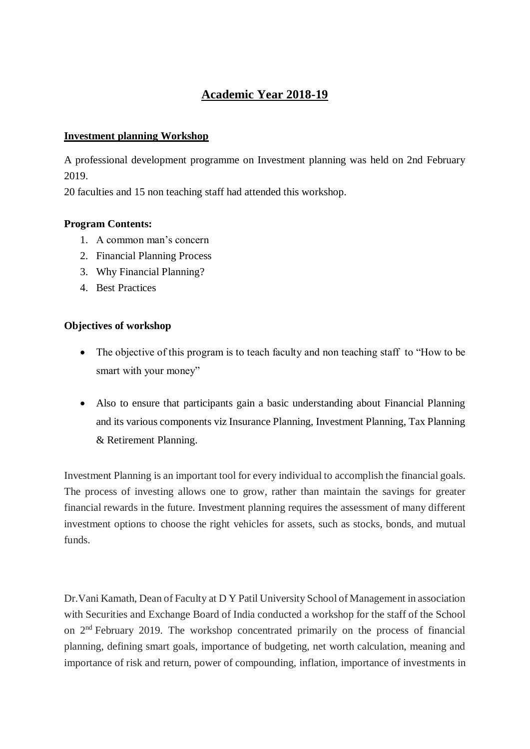# **Academic Year 2018-19**

#### **Investment planning Workshop**

A professional development programme on Investment planning was held on 2nd February 2019.

20 faculties and 15 non teaching staff had attended this workshop.

#### **Program Contents:**

- 1. A common man's concern
- 2. Financial Planning Process
- 3. Why Financial Planning?
- 4. Best Practices

#### **Objectives of workshop**

- The objective of this program is to teach faculty and non teaching staff to "How to be smart with your money"
- Also to ensure that participants gain a basic understanding about Financial Planning and its various components viz Insurance Planning, Investment Planning, Tax Planning & Retirement Planning.

Investment Planning is an important tool for every individual to accomplish the financial goals. The process of investing allows one to grow, rather than maintain the savings for greater financial rewards in the future. Investment planning requires the assessment of many different investment options to choose the right vehicles for assets, such as stocks, bonds, and mutual funds.

Dr.Vani Kamath, Dean of Faculty at D Y Patil University School of Management in association with Securities and Exchange Board of India conducted a workshop for the staff of the School on 2nd February 2019. The workshop concentrated primarily on the process of financial planning, defining smart goals, importance of budgeting, net worth calculation, meaning and importance of risk and return, power of compounding, inflation, importance of investments in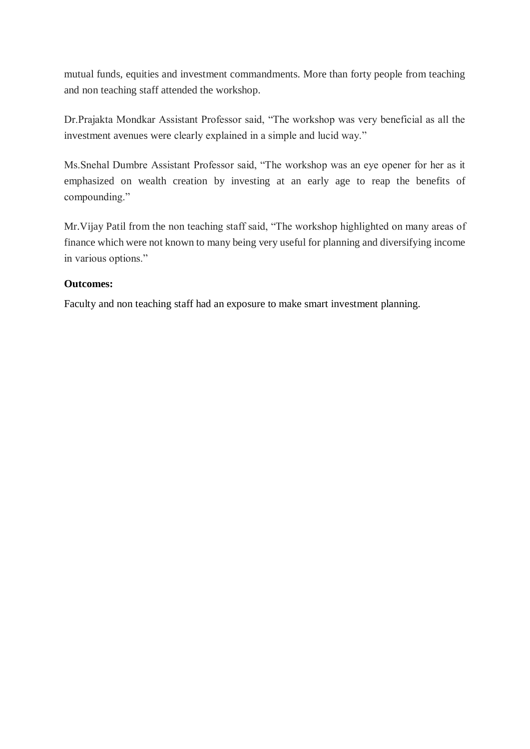mutual funds, equities and investment commandments. More than forty people from teaching and non teaching staff attended the workshop.

Dr.Prajakta Mondkar Assistant Professor said, "The workshop was very beneficial as all the investment avenues were clearly explained in a simple and lucid way."

Ms.Snehal Dumbre Assistant Professor said, "The workshop was an eye opener for her as it emphasized on wealth creation by investing at an early age to reap the benefits of compounding."

Mr.Vijay Patil from the non teaching staff said, "The workshop highlighted on many areas of finance which were not known to many being very useful for planning and diversifying income in various options."

## **Outcomes:**

Faculty and non teaching staff had an exposure to make smart investment planning.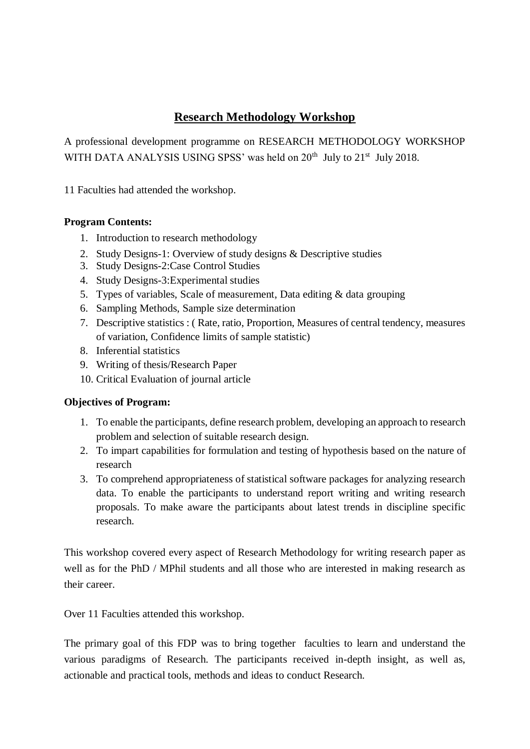## **Research Methodology Workshop**

A professional development programme on RESEARCH METHODOLOGY WORKSHOP WITH DATA ANALYSIS USING SPSS' was held on  $20<sup>th</sup>$  July to  $21<sup>st</sup>$  July 2018.

11 Faculties had attended the workshop.

## **Program Contents:**

- 1. Introduction to research methodology
- 2. Study Designs-1: Overview of study designs & Descriptive studies
- 3. Study Designs-2:Case Control Studies
- 4. Study Designs-3:Experimental studies
- 5. Types of variables, Scale of measurement, Data editing & data grouping
- 6. Sampling Methods, Sample size determination
- 7. Descriptive statistics : ( Rate, ratio, Proportion, Measures of central tendency, measures of variation, Confidence limits of sample statistic)
- 8. Inferential statistics
- 9. Writing of thesis/Research Paper
- 10. Critical Evaluation of journal article

### **Objectives of Program:**

- 1. To enable the participants, define research problem, developing an approach to research problem and selection of suitable research design.
- 2. To impart capabilities for formulation and testing of hypothesis based on the nature of research
- 3. To comprehend appropriateness of statistical software packages for analyzing research data. To enable the participants to understand report writing and writing research proposals. To make aware the participants about latest trends in discipline specific research.

This workshop covered every aspect of Research Methodology for writing research paper as well as for the PhD / MPhil students and all those who are interested in making research as their career.

Over 11 Faculties attended this workshop.

The primary goal of this FDP was to bring together faculties to learn and understand the various paradigms of Research. The participants received in-depth insight, as well as, actionable and practical tools, methods and ideas to conduct Research.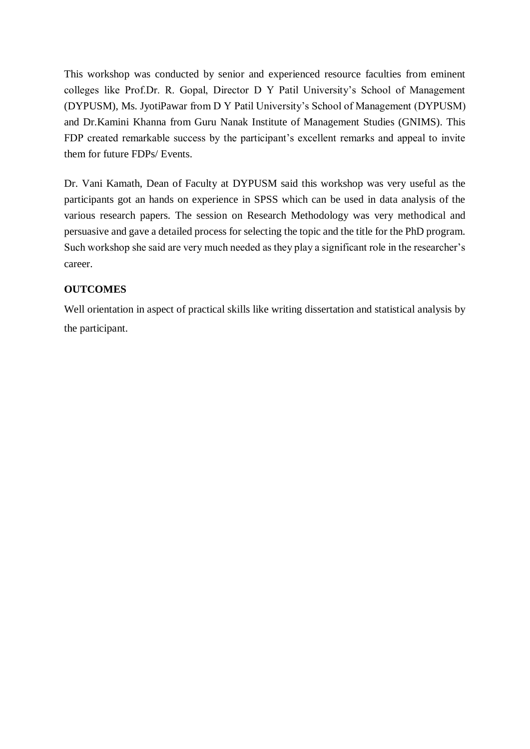This workshop was conducted by senior and experienced resource faculties from eminent colleges like Prof.Dr. R. Gopal, Director D Y Patil University's School of Management (DYPUSM), Ms. JyotiPawar from D Y Patil University's School of Management (DYPUSM) and Dr.Kamini Khanna from Guru Nanak Institute of Management Studies (GNIMS). This FDP created remarkable success by the participant's excellent remarks and appeal to invite them for future FDPs/ Events.

Dr. Vani Kamath, Dean of Faculty at DYPUSM said this workshop was very useful as the participants got an hands on experience in SPSS which can be used in data analysis of the various research papers. The session on Research Methodology was very methodical and persuasive and gave a detailed process for selecting the topic and the title for the PhD program. Such workshop she said are very much needed as they play a significant role in the researcher's career.

### **OUTCOMES**

Well orientation in aspect of practical skills like writing dissertation and statistical analysis by the participant.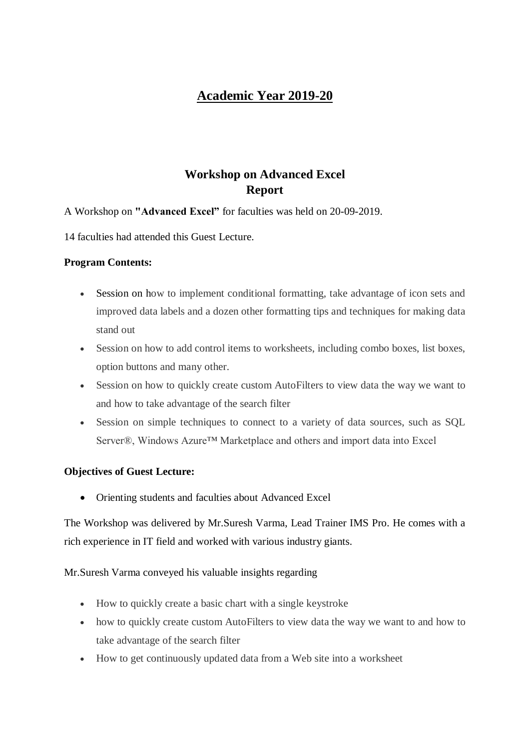# **Academic Year 2019-20**

# **Workshop on Advanced Excel Report**

### A Workshop on **"Advanced Excel"** for faculties was held on 20-09-2019.

14 faculties had attended this Guest Lecture.

#### **Program Contents:**

- Session on how to implement conditional formatting, take advantage of icon sets and improved data labels and a dozen other formatting tips and techniques for making data stand out
- Session on how to add control items to worksheets, including combo boxes, list boxes, option buttons and many other.
- Session on how to quickly create custom AutoFilters to view data the way we want to and how to take advantage of the search filter
- Session on simple techniques to connect to a variety of data sources, such as SQL Server®, Windows Azure™ Marketplace and others and import data into Excel

#### **Objectives of Guest Lecture:**

Orienting students and faculties about Advanced Excel

The Workshop was delivered by Mr.Suresh Varma, Lead Trainer IMS Pro. He comes with a rich experience in IT field and worked with various industry giants.

#### Mr.Suresh Varma conveyed his valuable insights regarding

- How to quickly create a basic chart with a single keystroke
- how to quickly create custom AutoFilters to view data the way we want to and how to take advantage of the search filter
- How to get continuously updated data from a Web site into a worksheet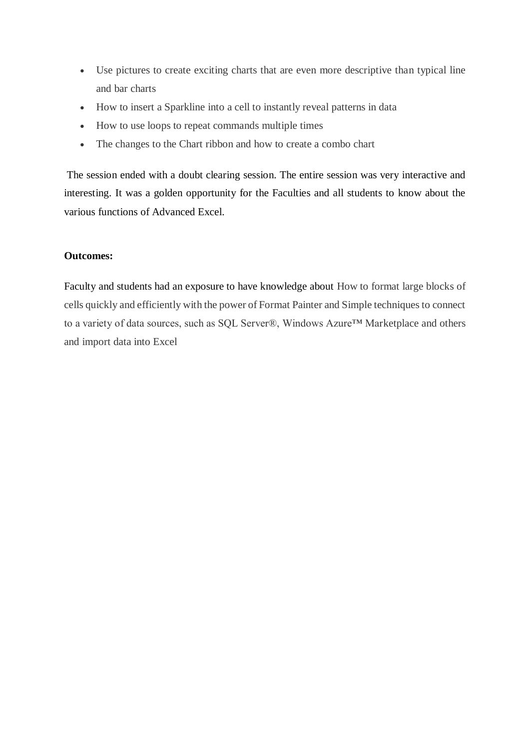- Use pictures to create exciting charts that are even more descriptive than typical line and bar charts
- How to insert a Sparkline into a cell to instantly reveal patterns in data
- How to use loops to repeat commands multiple times
- The changes to the Chart ribbon and how to create a combo chart

The session ended with a doubt clearing session. The entire session was very interactive and interesting. It was a golden opportunity for the Faculties and all students to know about the various functions of Advanced Excel.

#### **Outcomes:**

Faculty and students had an exposure to have knowledge about How to format large blocks of cells quickly and efficiently with the power of Format Painter and Simple techniques to connect to a variety of data sources, such as SQL Server®, Windows Azure™ Marketplace and others and import data into Excel